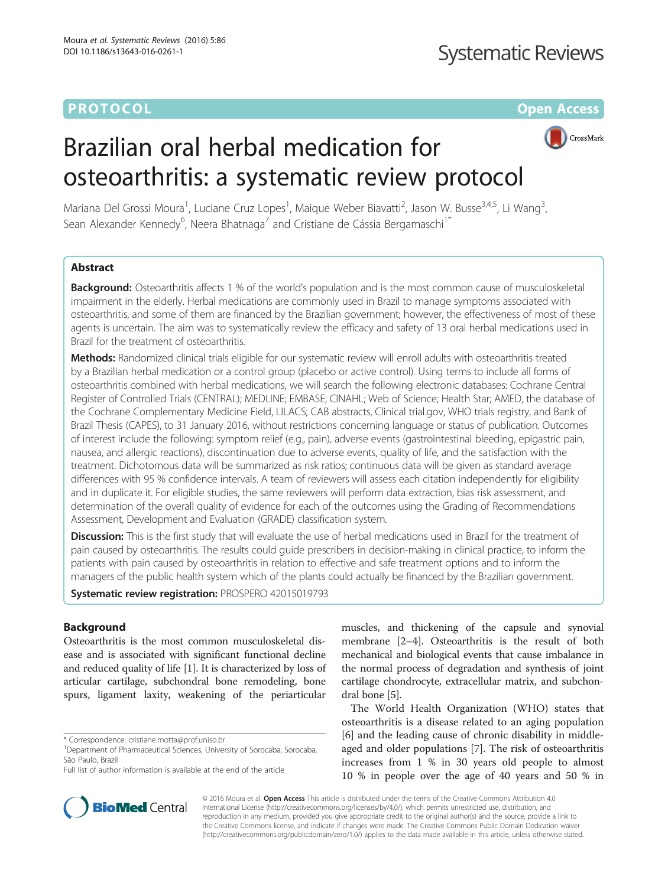# **PROTOCOL CONSUMING THE OPEN ACCESS**



# Brazilian oral herbal medication for osteoarthritis: a systematic review protocol

Mariana Del Grossi Moura<sup>1</sup>, Luciane Cruz Lopes<sup>1</sup>, Maique Weber Biavatti<sup>2</sup>, Jason W. Busse<sup>3,4,5</sup>, Li Wang<sup>3</sup> , Sean Alexander Kennedy<sup>6</sup>, Neera Bhatnaga<sup>7</sup> and Cristiane de Cássia Bergamaschi<sup>1\*</sup>

# Abstract

Background: Osteoarthritis affects 1 % of the world's population and is the most common cause of musculoskeletal impairment in the elderly. Herbal medications are commonly used in Brazil to manage symptoms associated with osteoarthritis, and some of them are financed by the Brazilian government; however, the effectiveness of most of these agents is uncertain. The aim was to systematically review the efficacy and safety of 13 oral herbal medications used in Brazil for the treatment of osteoarthritis.

Methods: Randomized clinical trials eligible for our systematic review will enroll adults with osteoarthritis treated by a Brazilian herbal medication or a control group (placebo or active control). Using terms to include all forms of osteoarthritis combined with herbal medications, we will search the following electronic databases: Cochrane Central Register of Controlled Trials (CENTRAL); MEDLINE; EMBASE; CINAHL; Web of Science; Health Star; AMED, the database of the Cochrane Complementary Medicine Field, LILACS; CAB abstracts, Clinical trial.gov, WHO trials registry, and Bank of Brazil Thesis (CAPES), to 31 January 2016, without restrictions concerning language or status of publication. Outcomes of interest include the following: symptom relief (e.g., pain), adverse events (gastrointestinal bleeding, epigastric pain, nausea, and allergic reactions), discontinuation due to adverse events, quality of life, and the satisfaction with the treatment. Dichotomous data will be summarized as risk ratios; continuous data will be given as standard average differences with 95 % confidence intervals. A team of reviewers will assess each citation independently for eligibility and in duplicate it. For eligible studies, the same reviewers will perform data extraction, bias risk assessment, and determination of the overall quality of evidence for each of the outcomes using the Grading of Recommendations Assessment, Development and Evaluation (GRADE) classification system.

Discussion: This is the first study that will evaluate the use of herbal medications used in Brazil for the treatment of pain caused by osteoarthritis. The results could guide prescribers in decision-making in clinical practice, to inform the patients with pain caused by osteoarthritis in relation to effective and safe treatment options and to inform the managers of the public health system which of the plants could actually be financed by the Brazilian government.

Systematic review registration: PROSPERO [42015019793](http://www.crd.york.ac.uk/PROSPERO/display_record.asp?ID=CRD42015019793)

# Background

Osteoarthritis is the most common musculoskeletal disease and is associated with significant functional decline and reduced quality of life [[1\]](#page-5-0). It is characterized by loss of articular cartilage, subchondral bone remodeling, bone spurs, ligament laxity, weakening of the periarticular

\* Correspondence: [cristiane.motta@prof.uniso.br](mailto:cristiane.motta@prof.uniso.br) <sup>1</sup>

muscles, and thickening of the capsule and synovial membrane [\[2](#page-5-0)–[4\]](#page-5-0). Osteoarthritis is the result of both mechanical and biological events that cause imbalance in the normal process of degradation and synthesis of joint cartilage chondrocyte, extracellular matrix, and subchondral bone [\[5](#page-5-0)].

The World Health Organization (WHO) states that osteoarthritis is a disease related to an aging population [[6\]](#page-5-0) and the leading cause of chronic disability in middleaged and older populations [[7\]](#page-5-0). The risk of osteoarthritis increases from 1 % in 30 years old people to almost 10 % in people over the age of 40 years and 50 % in



© 2016 Moura et al. Open Access This article is distributed under the terms of the Creative Commons Attribution 4.0 International License [\(http://creativecommons.org/licenses/by/4.0/](http://creativecommons.org/licenses/by/4.0/)), which permits unrestricted use, distribution, and reproduction in any medium, provided you give appropriate credit to the original author(s) and the source, provide a link to the Creative Commons license, and indicate if changes were made. The Creative Commons Public Domain Dedication waiver [\(http://creativecommons.org/publicdomain/zero/1.0/](http://creativecommons.org/publicdomain/zero/1.0/)) applies to the data made available in this article, unless otherwise stated.

<sup>&</sup>lt;sup>1</sup>Department of Pharmaceutical Sciences, University of Sorocaba, Sorocaba, São Paulo, Brazil

Full list of author information is available at the end of the article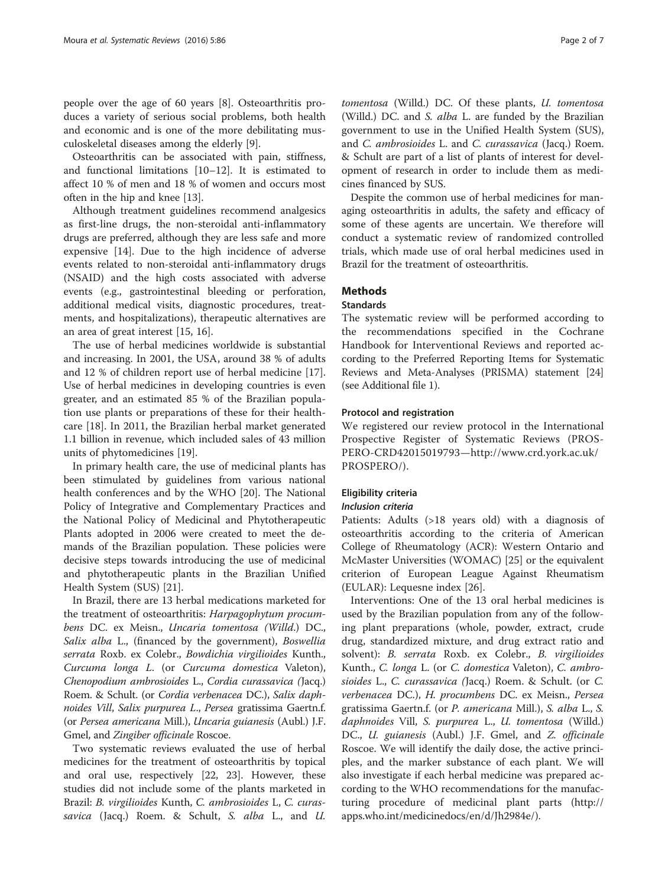people over the age of 60 years [\[8\]](#page-5-0). Osteoarthritis produces a variety of serious social problems, both health and economic and is one of the more debilitating musculoskeletal diseases among the elderly [\[9](#page-5-0)].

Osteoarthritis can be associated with pain, stiffness, and functional limitations [[10](#page-5-0)–[12](#page-5-0)]. It is estimated to affect 10 % of men and 18 % of women and occurs most often in the hip and knee [[13](#page-5-0)].

Although treatment guidelines recommend analgesics as first-line drugs, the non-steroidal anti-inflammatory drugs are preferred, although they are less safe and more expensive [[14\]](#page-5-0). Due to the high incidence of adverse events related to non-steroidal anti-inflammatory drugs (NSAID) and the high costs associated with adverse events (e.g., gastrointestinal bleeding or perforation, additional medical visits, diagnostic procedures, treatments, and hospitalizations), therapeutic alternatives are an area of great interest [\[15, 16\]](#page-5-0).

The use of herbal medicines worldwide is substantial and increasing. In 2001, the USA, around 38 % of adults and 12 % of children report use of herbal medicine [\[17](#page-5-0)]. Use of herbal medicines in developing countries is even greater, and an estimated 85 % of the Brazilian population use plants or preparations of these for their healthcare [[18\]](#page-5-0). In 2011, the Brazilian herbal market generated 1.1 billion in revenue, which included sales of 43 million units of phytomedicines [\[19\]](#page-5-0).

In primary health care, the use of medicinal plants has been stimulated by guidelines from various national health conferences and by the WHO [\[20\]](#page-5-0). The National Policy of Integrative and Complementary Practices and the National Policy of Medicinal and Phytotherapeutic Plants adopted in 2006 were created to meet the demands of the Brazilian population. These policies were decisive steps towards introducing the use of medicinal and phytotherapeutic plants in the Brazilian Unified Health System (SUS) [[21](#page-5-0)].

In Brazil, there are 13 herbal medications marketed for the treatment of osteoarthritis: Harpagophytum procumbens DC. ex Meisn., Uncaria tomentosa (Willd.) DC., Salix alba L., (financed by the government), Boswellia serrata Roxb. ex Colebr., Bowdichia virgilioides Kunth., Curcuma longa L. (or Curcuma domestica Valeton), Chenopodium ambrosioides L., Cordia curassavica (Jacq.) Roem. & Schult. (or Cordia verbenacea DC.), Salix daphnoides Vill, Salix purpurea L., Persea gratissima Gaertn.f. (or Persea americana Mill.), Uncaria guianesis (Aubl.) J.F. Gmel, and Zingiber officinale Roscoe.

Two systematic reviews evaluated the use of herbal medicines for the treatment of osteoarthritis by topical and oral use, respectively [[22, 23\]](#page-5-0). However, these studies did not include some of the plants marketed in Brazil: B. virgilioides Kunth, C. ambrosioides L, C. curassavica (Jacq.) Roem. & Schult, S. alba L., and U.

tomentosa (Willd.) DC. Of these plants, U. tomentosa (Willd.) DC. and S. alba L. are funded by the Brazilian government to use in the Unified Health System (SUS), and C. ambrosioides L. and C. curassavica (Jacq.) Roem. & Schult are part of a list of plants of interest for development of research in order to include them as medicines financed by SUS.

Despite the common use of herbal medicines for managing osteoarthritis in adults, the safety and efficacy of some of these agents are uncertain. We therefore will conduct a systematic review of randomized controlled trials, which made use of oral herbal medicines used in Brazil for the treatment of osteoarthritis.

# Methods

# Standards

The systematic review will be performed according to the recommendations specified in the Cochrane Handbook for Interventional Reviews and reported according to the Preferred Reporting Items for Systematic Reviews and Meta-Analyses (PRISMA) statement [[24](#page-5-0)] (see Additional file [1](#page-4-0)).

# Protocol and registration

We registered our review protocol in the International Prospective Register of Systematic Reviews (PROS-PERO-CRD42015019793—[http://www.crd.york.ac.uk/](http://www.crd.york.ac.uk/PROSPERO/) [PROSPERO/](http://www.crd.york.ac.uk/PROSPERO/)).

# Eligibility criteria

# Inclusion criteria

Patients: Adults (>18 years old) with a diagnosis of osteoarthritis according to the criteria of American College of Rheumatology (ACR): Western Ontario and McMaster Universities (WOMAC) [\[25](#page-5-0)] or the equivalent criterion of European League Against Rheumatism (EULAR): Lequesne index [[26](#page-5-0)].

Interventions: One of the 13 oral herbal medicines is used by the Brazilian population from any of the following plant preparations (whole, powder, extract, crude drug, standardized mixture, and drug extract ratio and solvent): B. serrata Roxb. ex Colebr., B. virgilioides Kunth., C. longa L. (or C. domestica Valeton), C. ambrosioides L., C. curassavica (Jacq.) Roem. & Schult. (or C. verbenacea DC.), H. procumbens DC. ex Meisn., Persea gratissima Gaertn.f. (or P. americana Mill.), S. alba L., S. daphnoides Vill, S. purpurea L., U. tomentosa (Willd.) DC., *U. guianesis* (Aubl.) J.F. Gmel, and *Z. officinale* Roscoe. We will identify the daily dose, the active principles, and the marker substance of each plant. We will also investigate if each herbal medicine was prepared according to the WHO recommendations for the manufacturing procedure of medicinal plant parts [\(http://](http://apps.who.int/medicinedocs/en/d/Jh2984e/) [apps.who.int/medicinedocs/en/d/Jh2984e/](http://apps.who.int/medicinedocs/en/d/Jh2984e/)).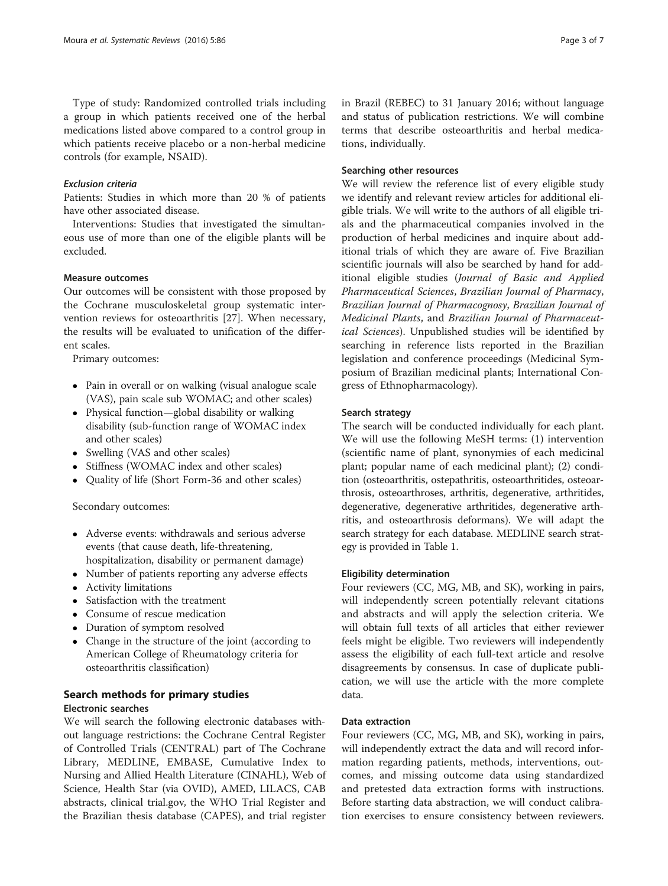Type of study: Randomized controlled trials including a group in which patients received one of the herbal medications listed above compared to a control group in which patients receive placebo or a non-herbal medicine controls (for example, NSAID).

# Exclusion criteria

Patients: Studies in which more than 20 % of patients have other associated disease.

Interventions: Studies that investigated the simultaneous use of more than one of the eligible plants will be excluded.

#### Measure outcomes

Our outcomes will be consistent with those proposed by the Cochrane musculoskeletal group systematic intervention reviews for osteoarthritis [[27\]](#page-5-0). When necessary, the results will be evaluated to unification of the different scales.

Primary outcomes:

- Pain in overall or on walking (visual analogue scale (VAS), pain scale sub WOMAC; and other scales)
- Physical function—global disability or walking disability (sub-function range of WOMAC index and other scales)
- Swelling (VAS and other scales)
- Stiffness (WOMAC index and other scales)
- Quality of life (Short Form-36 and other scales)

Secondary outcomes:

- Adverse events: withdrawals and serious adverse events (that cause death, life-threatening, hospitalization, disability or permanent damage)
- Number of patients reporting any adverse effects
- Activity limitations
- Satisfaction with the treatment
- Consume of rescue medication
- Duration of symptom resolved
- Change in the structure of the joint (according to American College of Rheumatology criteria for osteoarthritis classification)

# Search methods for primary studies

Electronic searches

We will search the following electronic databases without language restrictions: the Cochrane Central Register of Controlled Trials (CENTRAL) part of The Cochrane Library, MEDLINE, EMBASE, Cumulative Index to Nursing and Allied Health Literature (CINAHL), Web of Science, Health Star (via OVID), AMED, LILACS, CAB abstracts, clinical trial.gov, the WHO Trial Register and the Brazilian thesis database (CAPES), and trial register

in Brazil (REBEC) to 31 January 2016; without language and status of publication restrictions. We will combine terms that describe osteoarthritis and herbal medications, individually.

#### Searching other resources

We will review the reference list of every eligible study we identify and relevant review articles for additional eligible trials. We will write to the authors of all eligible trials and the pharmaceutical companies involved in the production of herbal medicines and inquire about additional trials of which they are aware of. Five Brazilian scientific journals will also be searched by hand for additional eligible studies (Journal of Basic and Applied Pharmaceutical Sciences, Brazilian Journal of Pharmacy, Brazilian Journal of Pharmacognosy, Brazilian Journal of Medicinal Plants, and Brazilian Journal of Pharmaceutical Sciences). Unpublished studies will be identified by searching in reference lists reported in the Brazilian legislation and conference proceedings (Medicinal Symposium of Brazilian medicinal plants; International Congress of Ethnopharmacology).

#### Search strategy

The search will be conducted individually for each plant. We will use the following MeSH terms: (1) intervention (scientific name of plant, synonymies of each medicinal plant; popular name of each medicinal plant); (2) condition (osteoarthritis, ostepathritis, osteoarthritides, osteoarthrosis, osteoarthroses, arthritis, degenerative, arthritides, degenerative, degenerative arthritides, degenerative arthritis, and osteoarthrosis deformans). We will adapt the search strategy for each database. MEDLINE search strategy is provided in Table [1.](#page-3-0)

# Eligibility determination

Four reviewers (CC, MG, MB, and SK), working in pairs, will independently screen potentially relevant citations and abstracts and will apply the selection criteria. We will obtain full texts of all articles that either reviewer feels might be eligible. Two reviewers will independently assess the eligibility of each full-text article and resolve disagreements by consensus. In case of duplicate publication, we will use the article with the more complete data.

# Data extraction

Four reviewers (CC, MG, MB, and SK), working in pairs, will independently extract the data and will record information regarding patients, methods, interventions, outcomes, and missing outcome data using standardized and pretested data extraction forms with instructions. Before starting data abstraction, we will conduct calibration exercises to ensure consistency between reviewers.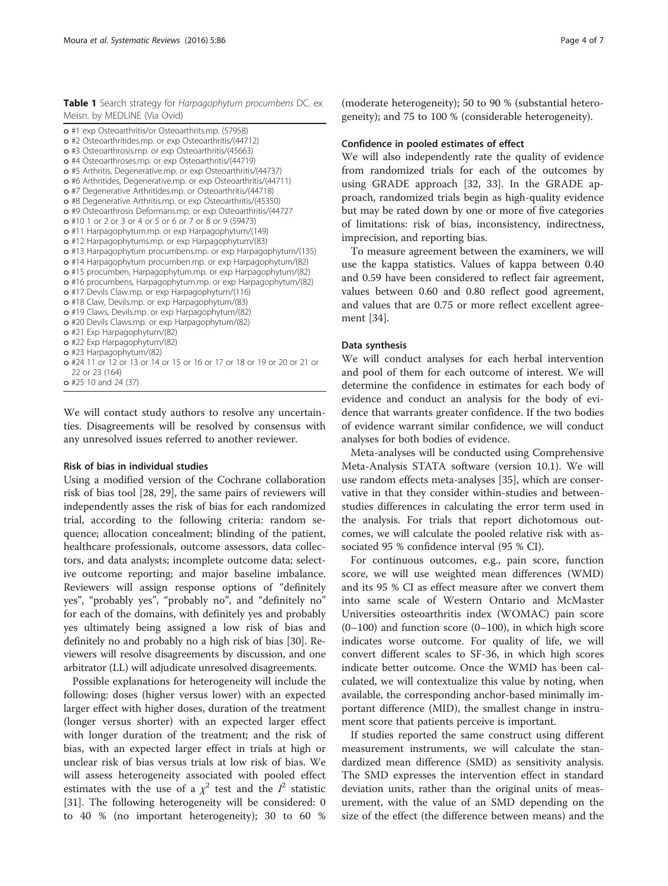<span id="page-3-0"></span>Table 1 Search strategy for Harpagophytum procumbens DC. ex Meisn. by MEDLINE (Via Ovid)

o #1 exp Osteoarthritis/or Osteoarthrits.mp. (57958) o #2 Osteoarthritides.mp. or exp Osteoarthritis/(44712) o #3 Osteoarthrosis.mp. or exp Osteoarthritis/(45663) o #4 Osteoarthroses.mp. or exp Osteoarthritis/(44719) o #5 Arthritis, Degenerative.mp. or exp Osteoarthritis/(44737) o #6 Arthritides, Degenerative.mp. or exp Osteoarthritis/(44711) o #7 Degenerative Arthritides.mp. or Osteoarthritis/(44718) o #8 Degenerative Arthritis.mp. or exp Osteoarthritis/(45350) o #9 Osteoarthrosis Deformans.mp. or exp Osteoarthritis/(44727 o #10 1 or 2 or 3 or 4 or 5 or 6 or 7 or 8 or 9 (59473) o #11 Harpagophytum.mp. or exp Harpagophytum/(149) o #12 Harpagophytums.mp. or exp Harpagophytum/(83) o #13 Harpagophytum procumbens.mp. or exp Harpagophytum/(135) o #14 Harpagophytum procumben.mp. or exp Harpagophytum/(82) o #15 procumben, Harpagophytum.mp. or exp Harpagophytum/(82) o #16 procumbens, Harpagophytum.mp. or exp Harpagophytum/(82) o #17 Devils Claw.mp. or exp Harpagophytum/(116) o #18 Claw, Devils.mp. or exp Harpagophytum/(83) o #19 Claws, Devils.mp. or exp Harpagophytum/(82) o #20 Devils Claws.mp. or exp Harpagophytum/(82) o #21 Exp Harpagophytum/(82) o #22 Exp Harpagophytum/(82) o #23 Harpagophytum/(82) o #24 11 or 12 or 13 or 14 or 15 or 16 or 17 or 18 or 19 or 20 or 21 or 22 or 23 (164) o #25 10 and 24 (37)

We will contact study authors to resolve any uncertainties. Disagreements will be resolved by consensus with any unresolved issues referred to another reviewer.

#### Risk of bias in individual studies

Using a modified version of the Cochrane collaboration risk of bias tool [\[28](#page-5-0), [29](#page-5-0)], the same pairs of reviewers will independently asses the risk of bias for each randomized trial, according to the following criteria: random sequence; allocation concealment; blinding of the patient, healthcare professionals, outcome assessors, data collectors, and data analysts; incomplete outcome data; selective outcome reporting; and major baseline imbalance. Reviewers will assign response options of "definitely yes", "probably yes", "probably no", and "definitely no" for each of the domains, with definitely yes and probably yes ultimately being assigned a low risk of bias and definitely no and probably no a high risk of bias [[30](#page-5-0)]. Reviewers will resolve disagreements by discussion, and one arbitrator (LL) will adjudicate unresolved disagreements.

Possible explanations for heterogeneity will include the following: doses (higher versus lower) with an expected larger effect with higher doses, duration of the treatment (longer versus shorter) with an expected larger effect with longer duration of the treatment; and the risk of bias, with an expected larger effect in trials at high or unclear risk of bias versus trials at low risk of bias. We will assess heterogeneity associated with pooled effect estimates with the use of a  $\chi^2$  test and the  $I^2$  statistic [[31\]](#page-5-0). The following heterogeneity will be considered: 0 to 40 % (no important heterogeneity); 30 to 60 % (moderate heterogeneity); 50 to 90 % (substantial heterogeneity); and 75 to 100 % (considerable heterogeneity).

#### Confidence in pooled estimates of effect

We will also independently rate the quality of evidence from randomized trials for each of the outcomes by using GRADE approach [[32, 33\]](#page-5-0). In the GRADE approach, randomized trials begin as high-quality evidence but may be rated down by one or more of five categories of limitations: risk of bias, inconsistency, indirectness, imprecision, and reporting bias.

To measure agreement between the examiners, we will use the kappa statistics. Values of kappa between 0.40 and 0.59 have been considered to reflect fair agreement, values between 0.60 and 0.80 reflect good agreement, and values that are 0.75 or more reflect excellent agreement [[34\]](#page-5-0).

#### Data synthesis

We will conduct analyses for each herbal intervention and pool of them for each outcome of interest. We will determine the confidence in estimates for each body of evidence and conduct an analysis for the body of evidence that warrants greater confidence. If the two bodies of evidence warrant similar confidence, we will conduct analyses for both bodies of evidence.

Meta-analyses will be conducted using Comprehensive Meta-Analysis STATA software (version 10.1). We will use random effects meta-analyses [[35\]](#page-5-0), which are conservative in that they consider within-studies and betweenstudies differences in calculating the error term used in the analysis. For trials that report dichotomous outcomes, we will calculate the pooled relative risk with associated 95 % confidence interval (95 % CI).

For continuous outcomes, e.g., pain score, function score, we will use weighted mean differences (WMD) and its 95 % CI as effect measure after we convert them into same scale of Western Ontario and McMaster Universities osteoarthritis index (WOMAC) pain score  $(0-100)$  and function score  $(0-100)$ , in which high score indicates worse outcome. For quality of life, we will convert different scales to SF-36, in which high scores indicate better outcome. Once the WMD has been calculated, we will contextualize this value by noting, when available, the corresponding anchor-based minimally important difference (MID), the smallest change in instrument score that patients perceive is important.

If studies reported the same construct using different measurement instruments, we will calculate the standardized mean difference (SMD) as sensitivity analysis. The SMD expresses the intervention effect in standard deviation units, rather than the original units of measurement, with the value of an SMD depending on the size of the effect (the difference between means) and the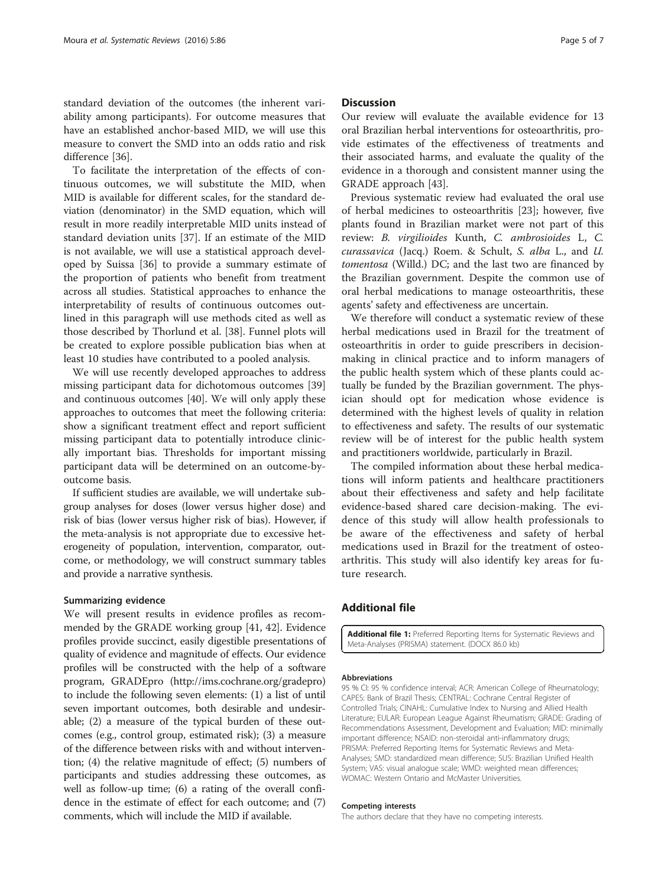<span id="page-4-0"></span>standard deviation of the outcomes (the inherent variability among participants). For outcome measures that have an established anchor-based MID, we will use this measure to convert the SMD into an odds ratio and risk difference [[36\]](#page-5-0).

To facilitate the interpretation of the effects of continuous outcomes, we will substitute the MID, when MID is available for different scales, for the standard deviation (denominator) in the SMD equation, which will result in more readily interpretable MID units instead of standard deviation units [[37](#page-5-0)]. If an estimate of the MID is not available, we will use a statistical approach developed by Suissa [[36](#page-5-0)] to provide a summary estimate of the proportion of patients who benefit from treatment across all studies. Statistical approaches to enhance the interpretability of results of continuous outcomes outlined in this paragraph will use methods cited as well as those described by Thorlund et al. [[38\]](#page-5-0). Funnel plots will be created to explore possible publication bias when at least 10 studies have contributed to a pooled analysis.

We will use recently developed approaches to address missing participant data for dichotomous outcomes [[39](#page-5-0)] and continuous outcomes [[40\]](#page-5-0). We will only apply these approaches to outcomes that meet the following criteria: show a significant treatment effect and report sufficient missing participant data to potentially introduce clinically important bias. Thresholds for important missing participant data will be determined on an outcome-byoutcome basis.

If sufficient studies are available, we will undertake subgroup analyses for doses (lower versus higher dose) and risk of bias (lower versus higher risk of bias). However, if the meta-analysis is not appropriate due to excessive heterogeneity of population, intervention, comparator, outcome, or methodology, we will construct summary tables and provide a narrative synthesis.

## Summarizing evidence

We will present results in evidence profiles as recommended by the GRADE working group [\[41, 42\]](#page-6-0). Evidence profiles provide succinct, easily digestible presentations of quality of evidence and magnitude of effects. Our evidence profiles will be constructed with the help of a software program, GRADEpro (<http://ims.cochrane.org/gradepro>) to include the following seven elements: (1) a list of until seven important outcomes, both desirable and undesirable; (2) a measure of the typical burden of these outcomes (e.g., control group, estimated risk); (3) a measure of the difference between risks with and without intervention; (4) the relative magnitude of effect; (5) numbers of participants and studies addressing these outcomes, as well as follow-up time; (6) a rating of the overall confidence in the estimate of effect for each outcome; and (7) comments, which will include the MID if available.

## **Discussion**

Our review will evaluate the available evidence for 13 oral Brazilian herbal interventions for osteoarthritis, provide estimates of the effectiveness of treatments and their associated harms, and evaluate the quality of the evidence in a thorough and consistent manner using the GRADE approach [[43\]](#page-6-0).

Previous systematic review had evaluated the oral use of herbal medicines to osteoarthritis [\[23\]](#page-5-0); however, five plants found in Brazilian market were not part of this review: B. virgilioides Kunth, C. ambrosioides L, C. curassavica (Jacq.) Roem. & Schult, S. alba L., and U. tomentosa (Willd.) DC; and the last two are financed by the Brazilian government. Despite the common use of oral herbal medications to manage osteoarthritis, these agents' safety and effectiveness are uncertain.

We therefore will conduct a systematic review of these herbal medications used in Brazil for the treatment of osteoarthritis in order to guide prescribers in decisionmaking in clinical practice and to inform managers of the public health system which of these plants could actually be funded by the Brazilian government. The physician should opt for medication whose evidence is determined with the highest levels of quality in relation to effectiveness and safety. The results of our systematic review will be of interest for the public health system and practitioners worldwide, particularly in Brazil.

The compiled information about these herbal medications will inform patients and healthcare practitioners about their effectiveness and safety and help facilitate evidence-based shared care decision-making. The evidence of this study will allow health professionals to be aware of the effectiveness and safety of herbal medications used in Brazil for the treatment of osteoarthritis. This study will also identify key areas for future research.

# Additional file

[Additional file 1:](dx.doi.org/10.1186/s13643-016-0261-1) Preferred Reporting Items for Systematic Reviews and Meta-Analyses (PRISMA) statement. (DOCX 86.0 kb)

#### Abbreviations

95 % CI: 95 % confidence interval; ACR: American College of Rheumatology; CAPES: Bank of Brazil Thesis; CENTRAL: Cochrane Central Register of Controlled Trials; CINAHL: Cumulative Index to Nursing and Allied Health Literature; EULAR: European League Against Rheumatism; GRADE: Grading of Recommendations Assessment, Development and Evaluation; MID: minimally important difference; NSAID: non-steroidal anti-inflammatory drugs; PRISMA: Preferred Reporting Items for Systematic Reviews and Meta-Analyses; SMD: standardized mean difference; SUS: Brazilian Unified Health System; VAS: visual analogue scale; WMD: weighted mean differences; WOMAC: Western Ontario and McMaster Universities.

#### Competing interests

The authors declare that they have no competing interests.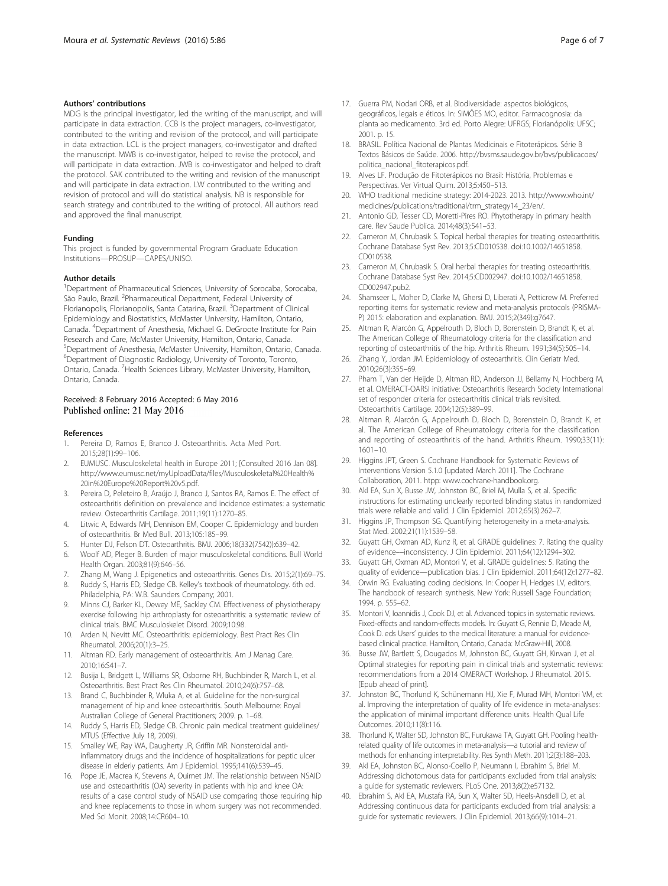#### <span id="page-5-0"></span>Authors' contributions

MDG is the principal investigator, led the writing of the manuscript, and will participate in data extraction. CCB is the project managers, co-investigator, contributed to the writing and revision of the protocol, and will participate in data extraction. LCL is the project managers, co-investigator and drafted the manuscript. MWB is co-investigator, helped to revise the protocol, and will participate in data extraction. JWB is co-investigator and helped to draft the protocol. SAK contributed to the writing and revision of the manuscript and will participate in data extraction. LW contributed to the writing and revision of protocol and will do statistical analysis. NB is responsible for search strategy and contributed to the writing of protocol. All authors read and approved the final manuscript.

#### Funding

This project is funded by governmental Program Graduate Education Institutions—PROSUP—CAPES/UNISO.

#### Author details

<sup>1</sup>Department of Pharmaceutical Sciences, University of Sorocaba, Sorocaba, São Paulo, Brazil. <sup>2</sup>Pharmaceutical Department, Federal University of Florianopolis, Florianopolis, Santa Catarina, Brazil. <sup>3</sup>Department of Clinical Epidemiology and Biostatistics, McMaster University, Hamilton, Ontario, Canada. <sup>4</sup> Department of Anesthesia, Michael G. DeGroote Institute for Pain Research and Care, McMaster University, Hamilton, Ontario, Canada. 5 Department of Anesthesia, McMaster University, Hamilton, Ontario, Canada. 6 Department of Diagnostic Radiology, University of Toronto, Toronto, Ontario, Canada. <sup>7</sup> Health Sciences Library, McMaster University, Hamilton, Ontario, Canada.

#### Received: 8 February 2016 Accepted: 6 May 2016 Published online: 21 May 2016

#### References

- 1. Pereira D, Ramos E, Branco J. Osteoarthritis. Acta Med Port. 2015;28(1):99–106.
- 2. EUMUSC. Musculoskeletal health in Europe 2011; [Consulted 2016 Jan 08]. [http://www.eumusc.net/myUploadData/files/Musculoskeletal%20Health%](http://www.eumusc.net/myUploadData/files/Musculoskeletal%20Health%20in%20Europe%20Report%20v5.pdf) [20in%20Europe%20Report%20v5.pdf](http://www.eumusc.net/myUploadData/files/Musculoskeletal%20Health%20in%20Europe%20Report%20v5.pdf).
- 3. Pereira D, Peleteiro B, Araújo J, Branco J, Santos RA, Ramos E. The effect of osteoarthritis definition on prevalence and incidence estimates: a systematic review. Osteoarthritis Cartilage. 2011;19(11):1270–85.
- 4. Litwic A, Edwards MH, Dennison EM, Cooper C. Epidemiology and burden of osteoarthritis. Br Med Bull. 2013;105:185–99.
- 5. Hunter DJ, Felson DT. Osteoarthritis. BMJ. 2006;18(332(7542)):639–42.
- 6. Woolf AD, Pleger B. Burden of major musculoskeletal conditions. Bull World Health Organ. 2003;81(9):646–56.
- 7. Zhang M, Wang J. Epigenetics and osteoarthritis. Genes Dis. 2015;2(1):69–75.
- Ruddy S, Harris ED, Sledge CB. Kelley's textbook of rheumatology. 6th ed. Philadelphia, PA: W.B. Saunders Company; 2001.
- 9. Minns CJ, Barker KL, Dewey ME, Sackley CM. Effectiveness of physiotherapy exercise following hip arthroplasty for osteoarthritis: a systematic review of clinical trials. BMC Musculoskelet Disord. 2009;10:98.
- 10. Arden N, Nevitt MC. Osteoarthritis: epidemiology. Best Pract Res Clin Rheumatol. 2006;20(1):3–25.
- 11. Altman RD. Early management of osteoarthritis. Am J Manag Care. 2010;16:S41–7.
- 12. Busija L, Bridgett L, Williams SR, Osborne RH, Buchbinder R, March L, et al. Osteoarthritis. Best Pract Res Clin Rheumatol. 2010;24(6):757–68.
- 13. Brand C, Buchbinder R, Wluka A, et al. Guideline for the non-surgical management of hip and knee osteoarthritis. South Melbourne: Royal Australian College of General Practitioners; 2009. p. 1–68.
- 14. Ruddy S, Harris ED, Sledge CB. Chronic pain medical treatment guidelines/ MTUS (Effective July 18, 2009).
- 15. Smalley WE, Ray WA, Daugherty JR, Griffin MR. Nonsteroidal antiinflammatory drugs and the incidence of hospitalizations for peptic ulcer disease in elderly patients. Am J Epidemiol. 1995;141(6):539–45.
- 16. Pope JE, Macrea K, Stevens A, Ouimet JM. The relationship between NSAID use and osteoarthritis (OA) severity in patients with hip and knee OA: results of a case control study of NSAID use comparing those requiring hip and knee replacements to those in whom surgery was not recommended. Med Sci Monit. 2008;14:CR604–10.
- 17. Guerra PM, Nodari ORB, et al. Biodiversidade: aspectos biológicos, geográficos, legais e éticos. In: SIMÕES MO, editor. Farmacognosia: da planta ao medicamento. 3rd ed. Porto Alegre: UFRGS; Florianópolis: UFSC; 2001. p. 15.
- 18. BRASIL. Política Nacional de Plantas Medicinais e Fitoterápicos. Série B Textos Básicos de Saúde. 2006. [http://bvsms.saude.gov.br/bvs/publicacoes/](http://bvsms.saude.gov.br/bvs/publicacoes/politica_nacional_fitoterapicos.pdf) [politica\\_nacional\\_fitoterapicos.pdf.](http://bvsms.saude.gov.br/bvs/publicacoes/politica_nacional_fitoterapicos.pdf)
- 19. Alves LF. Produção de Fitoterápicos no Brasil: História, Problemas e Perspectivas. Ver Virtual Quim. 2013;5:450–513.
- 20. WHO traditional medicine strategy: 2014-2023. 2013. [http://www.who.int/](http://www.who.int/medicines/publications/traditional/trm_strategy14_23/en/) [medicines/publications/traditional/trm\\_strategy14\\_23/en/.](http://www.who.int/medicines/publications/traditional/trm_strategy14_23/en/)
- 21. Antonio GD, Tesser CD, Moretti-Pires RO. Phytotherapy in primary health care. Rev Saude Publica. 2014;48(3):541–53.
- 22. Cameron M, Chrubasik S. Topical herbal therapies for treating osteoarthritis. Cochrane Database Syst Rev. 2013;5:CD010538. doi[:10.1002/14651858.](http://dx.doi.org/10.1002/14651858.CD010538) [CD010538.](http://dx.doi.org/10.1002/14651858.CD010538)
- 23. Cameron M, Chrubasik S. Oral herbal therapies for treating osteoarthritis. Cochrane Database Syst Rev. 2014;5:CD002947. doi[:10.1002/14651858.](http://dx.doi.org/10.1002/14651858.CD002947.pub2) [CD002947.pub2.](http://dx.doi.org/10.1002/14651858.CD002947.pub2)
- 24. Shamseer L, Moher D, Clarke M, Ghersi D, Liberati A, Petticrew M. Preferred reporting items for systematic review and meta-analysis protocols (PRISMA-P) 2015: elaboration and explanation. BMJ. 2015;2(349):g7647.
- 25. Altman R, Alarcón G, Appelrouth D, Bloch D, Borenstein D, Brandt K, et al. The American College of Rheumatology criteria for the classification and reporting of osteoarthritis of the hip. Arthritis Rheum. 1991;34(5):505–14.
- 26. Zhang Y, Jordan JM. Epidemiology of osteoarthritis. Clin Geriatr Med. 2010;26(3):355–69.
- 27. Pham T, Van der Heijde D, Altman RD, Anderson JJ, Bellamy N, Hochberg M, et al. OMERACT-OARSI initiative: Osteoarthritis Research Society International set of responder criteria for osteoarthritis clinical trials revisited. Osteoarthritis Cartilage. 2004;12(5):389–99.
- 28. Altman R, Alarcón G, Appelrouth D, Bloch D, Borenstein D, Brandt K, et al. The American College of Rheumatology criteria for the classification and reporting of osteoarthritis of the hand. Arthritis Rheum. 1990;33(11): 1601–10.
- 29. Higgins JPT, Green S. Cochrane Handbook for Systematic Reviews of Interventions Version 5.1.0 [updated March 2011]. The Cochrane Collaboration, 2011. htpp: [www.cochrane-handbook.org.](http://www.cochrane-handbook.org)
- 30. Akl EA, Sun X, Busse JW, Johnston BC, Briel M, Mulla S, et al. Specific instructions for estimating unclearly reported blinding status in randomized trials were reliable and valid. J Clin Epidemiol. 2012;65(3):262–7.
- 31. Higgins JP, Thompson SG. Quantifying heterogeneity in a meta-analysis. Stat Med. 2002;21(11):1539–58.
- 32. Guyatt GH, Oxman AD, Kunz R, et al. GRADE guidelines: 7. Rating the quality of evidence––inconsistency. J Clin Epidemiol. 2011;64(12):1294–302.
- 33. Guyatt GH, Oxman AD, Montori V, et al. GRADE guidelines: 5. Rating the quality of evidence—publication bias. J Clin Epidemiol. 2011;64(12):1277–82.
- 34. Orwin RG. Evaluating coding decisions. In: Cooper H, Hedges LV, editors. The handbook of research synthesis. New York: Russell Sage Foundation; 1994. p. 555–62.
- 35. Montori V, Ioannidis J, Cook DJ, et al. Advanced topics in systematic reviews. Fixed-effects and random-effects models. In: Guyatt G, Rennie D, Meade M, Cook D. eds Users' guides to the medical literature: a manual for evidencebased clinical practice. Hamilton, Ontario, Canada: McGraw-Hill, 2008.
- 36. Busse JW, Bartlett S, Dougados M, Johnston BC, Guyatt GH, Kirwan J, et al. Optimal strategies for reporting pain in clinical trials and systematic reviews: recommendations from a 2014 OMERACT Workshop. J Rheumatol. 2015. [Epub ahead of print].
- 37. Johnston BC, Thorlund K, Schünemann HJ, Xie F, Murad MH, Montori VM, et al. Improving the interpretation of quality of life evidence in meta-analyses: the application of minimal important difference units. Health Qual Life Outcomes. 2010;11(8):116.
- 38. Thorlund K, Walter SD, Johnston BC, Furukawa TA, Guyatt GH. Pooling healthrelated quality of life outcomes in meta-analysis—a tutorial and review of methods for enhancing interpretability. Res Synth Meth. 2011;2(3):188–203.
- 39. Akl EA, Johnston BC, Alonso-Coello P, Neumann I, Ebrahim S, Briel M. Addressing dichotomous data for participants excluded from trial analysis: a guide for systematic reviewers. PLoS One. 2013;8(2):e57132.
- 40. Ebrahim S, Akl EA, Mustafa RA, Sun X, Walter SD, Heels-Ansdell D, et al. Addressing continuous data for participants excluded from trial analysis: a guide for systematic reviewers. J Clin Epidemiol. 2013;66(9):1014–21.